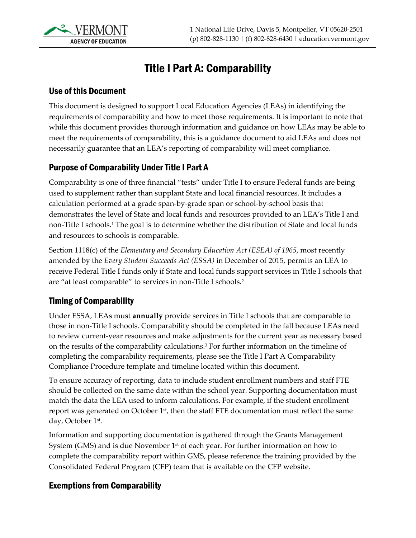

# Title I Part A: Comparability

#### Use of this Document

This document is designed to support Local Education Agencies (LEAs) in identifying the requirements of comparability and how to meet those requirements. It is important to note that while this document provides thorough information and guidance on how LEAs may be able to meet the requirements of comparability, this is a guidance document to aid LEAs and does not necessarily guarantee that an LEA's reporting of comparability will meet compliance.

### Purpose of Comparability Under Title I Part A

Comparability is one of three financial "tests" under Title I to ensure Federal funds are being used to supplement rather than supplant State and local financial resources. It includes a calculation performed at a grade span-by-grade span or school-by-school basis that demonstrates the level of State and local funds and resources provided to an LEA's Title I and non-Title I schools.1 The goal is to determine whether the distribution of State and local funds and resources to schools is comparable.

Section 1118(c) of the *Elementary and Secondary Education Act (ESEA) of 1965*, most recently amended by the *Every Student Succeeds Act (ESSA)* in December of 2015, permits an LEA to receive Federal Title I funds only if State and local funds support services in Title I schools that are "at least comparable" to services in non-Title I schools.2

### Timing of Comparability

Under ESSA, LEAs must **annually** provide services in Title I schools that are comparable to those in non-Title I schools. Comparability should be completed in the fall because LEAs need to review current-year resources and make adjustments for the current year as necessary based on the results of the comparability calculations.3 For further information on the timeline of completing the comparability requirements, please see the Title I Part A Comparability Compliance Procedure template and timeline located within this document.

To ensure accuracy of reporting, data to include student enrollment numbers and staff FTE should be collected on the same date within the school year. Supporting documentation must match the data the LEA used to inform calculations. For example, if the student enrollment report was generated on October 1<sup>st</sup>, then the staff FTE documentation must reflect the same day, October 1st.

Information and supporting documentation is gathered through the Grants Management System (GMS) and is due November 1<sup>st</sup> of each year. For further information on how to complete the comparability report within GMS, please reference the training provided by the Consolidated Federal Program (CFP) team that is available on the CFP website.

#### Exemptions from Comparability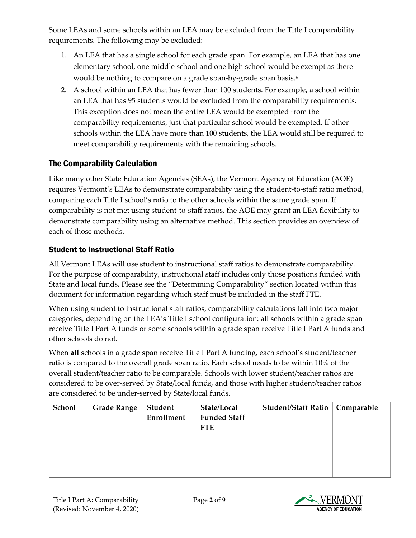Some LEAs and some schools within an LEA may be excluded from the Title I comparability requirements. The following may be excluded:

- 1. An LEA that has a single school for each grade span. For example, an LEA that has one elementary school, one middle school and one high school would be exempt as there would be nothing to compare on a grade span-by-grade span basis.4
- 2. A school within an LEA that has fewer than 100 students. For example, a school within an LEA that has 95 students would be excluded from the comparability requirements. This exception does not mean the entire LEA would be exempted from the comparability requirements, just that particular school would be exempted. If other schools within the LEA have more than 100 students, the LEA would still be required to meet comparability requirements with the remaining schools.

# The Comparability Calculation

Like many other State Education Agencies (SEAs), the Vermont Agency of Education (AOE) requires Vermont's LEAs to demonstrate comparability using the student-to-staff ratio method, comparing each Title I school's ratio to the other schools within the same grade span. If comparability is not met using student-to-staff ratios, the AOE may grant an LEA flexibility to demonstrate comparability using an alternative method. This section provides an overview of each of those methods.

### Student to Instructional Staff Ratio

All Vermont LEAs will use student to instructional staff ratios to demonstrate comparability. For the purpose of comparability, instructional staff includes only those positions funded with State and local funds. Please see the "Determining Comparability" section located within this document for information regarding which staff must be included in the staff FTE.

When using student to instructional staff ratios, comparability calculations fall into two major categories, depending on the LEA's Title I school configuration: all schools within a grade span receive Title I Part A funds or some schools within a grade span receive Title I Part A funds and other schools do not.

When **all** schools in a grade span receive Title I Part A funding, each school's student/teacher ratio is compared to the overall grade span ratio. Each school needs to be within 10% of the overall student/teacher ratio to be comparable. Schools with lower student/teacher ratios are considered to be over-served by State/local funds, and those with higher student/teacher ratios are considered to be under-served by State/local funds.

| School | <b>Grade Range</b> | Student<br><b>Enrollment</b> | State/Local<br><b>Funded Staff</b><br><b>FTE</b> | Student/Staff Ratio | <b>Comparable</b> |
|--------|--------------------|------------------------------|--------------------------------------------------|---------------------|-------------------|
|        |                    |                              |                                                  |                     |                   |

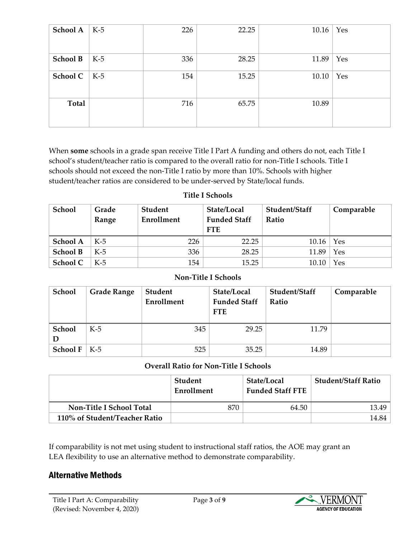| School A        | $K-5$ | 226 | 22.25 | 10.16 | Yes |
|-----------------|-------|-----|-------|-------|-----|
| <b>School B</b> | $K-5$ | 336 | 28.25 | 11.89 | Yes |
| School C        | K-5   | 154 | 15.25 | 10.10 | Yes |
| Total           |       | 716 | 65.75 | 10.89 |     |

When **some** schools in a grade span receive Title I Part A funding and others do not, each Title I school's student/teacher ratio is compared to the overall ratio for non-Title I schools. Title I schools should not exceed the non-Title I ratio by more than 10%. Schools with higher student/teacher ratios are considered to be under-served by State/local funds.

#### **Title I Schools**

| School          | Grade<br>Range | Student<br>Enrollment | State/Local<br><b>Funded Staff</b><br><b>FTE</b> | Student/Staff<br>Ratio | Comparable |
|-----------------|----------------|-----------------------|--------------------------------------------------|------------------------|------------|
| School A        | $K-5$          | 226                   | 22.25                                            | 10.16                  | Yes        |
| <b>School B</b> | $K-5$          | 336                   | 28.25                                            | 11.89                  | Yes        |
| School C        | $K-5$          | 154                   | 15.25                                            | 10.10                  | Yes        |

#### **Non-Title I Schools**

| School          | <b>Grade Range</b> | <b>Student</b><br>Enrollment | State/Local<br><b>Funded Staff</b><br><b>FTE</b> | Student/Staff<br>Ratio | Comparable |
|-----------------|--------------------|------------------------------|--------------------------------------------------|------------------------|------------|
| School          | $K-5$              | 345                          | 29.25                                            | 11.79                  |            |
| <b>School F</b> | K-5                | 525                          | 35.25                                            | 14.89                  |            |

#### **Overall Ratio for Non-Title I Schools**

|                                 | Student<br>Enrollment | State/Local<br><b>Funded Staff FTE</b> | <b>Student/Staff Ratio</b> |
|---------------------------------|-----------------------|----------------------------------------|----------------------------|
| <b>Non-Title I School Total</b> | 870                   | 64.50                                  | 13.49                      |
| 110% of Student/Teacher Ratio   |                       |                                        | 14.84                      |

If comparability is not met using student to instructional staff ratios, the AOE may grant an LEA flexibility to use an alternative method to demonstrate comparability.

### Alternative Methods

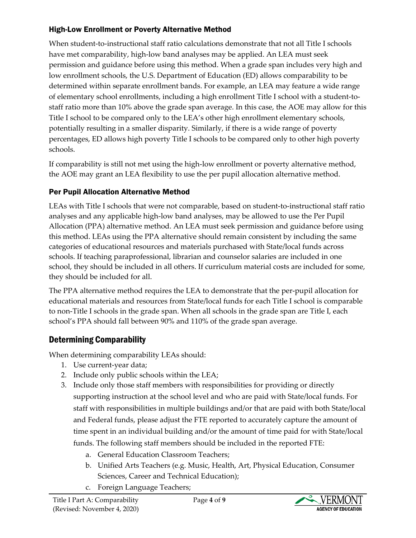### High-Low Enrollment or Poverty Alternative Method

When student-to-instructional staff ratio calculations demonstrate that not all Title I schools have met comparability, high-low band analyses may be applied. An LEA must seek permission and guidance before using this method. When a grade span includes very high and low enrollment schools, the U.S. Department of Education (ED) allows comparability to be determined within separate enrollment bands. For example, an LEA may feature a wide range of elementary school enrollments, including a high enrollment Title I school with a student-tostaff ratio more than 10% above the grade span average. In this case, the AOE may allow for this Title I school to be compared only to the LEA's other high enrollment elementary schools, potentially resulting in a smaller disparity. Similarly, if there is a wide range of poverty percentages, ED allows high poverty Title I schools to be compared only to other high poverty schools.

If comparability is still not met using the high-low enrollment or poverty alternative method, the AOE may grant an LEA flexibility to use the per pupil allocation alternative method.

### Per Pupil Allocation Alternative Method

LEAs with Title I schools that were not comparable, based on student-to-instructional staff ratio analyses and any applicable high-low band analyses, may be allowed to use the Per Pupil Allocation (PPA) alternative method. An LEA must seek permission and guidance before using this method. LEAs using the PPA alternative should remain consistent by including the same categories of educational resources and materials purchased with State/local funds across schools. If teaching paraprofessional, librarian and counselor salaries are included in one school, they should be included in all others. If curriculum material costs are included for some, they should be included for all.

The PPA alternative method requires the LEA to demonstrate that the per-pupil allocation for educational materials and resources from State/local funds for each Title I school is comparable to non-Title I schools in the grade span. When all schools in the grade span are Title I, each school's PPA should fall between 90% and 110% of the grade span average.

### Determining Comparability

When determining comparability LEAs should:

- 1. Use current-year data;
- 2. Include only public schools within the LEA;
- 3. Include only those staff members with responsibilities for providing or directly supporting instruction at the school level and who are paid with State/local funds. For staff with responsibilities in multiple buildings and/or that are paid with both State/local and Federal funds, please adjust the FTE reported to accurately capture the amount of time spent in an individual building and/or the amount of time paid for with State/local funds. The following staff members should be included in the reported FTE:
	- a. General Education Classroom Teachers;
	- b. Unified Arts Teachers (e.g. Music, Health, Art, Physical Education, Consumer Sciences, Career and Technical Education);
	- c. Foreign Language Teachers;

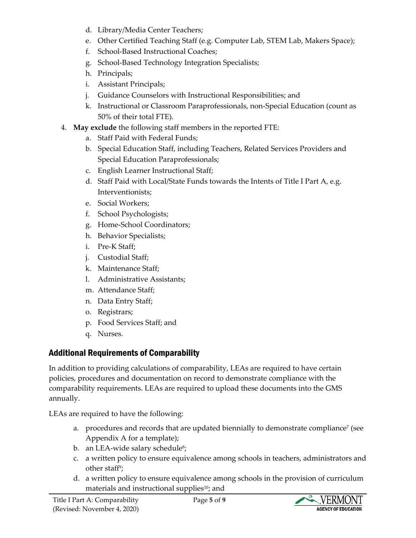- d. Library/Media Center Teachers;
- e. Other Certified Teaching Staff (e.g. Computer Lab, STEM Lab, Makers Space);
- f. School-Based Instructional Coaches;
- g. School-Based Technology Integration Specialists;
- h. Principals;
- i. Assistant Principals;
- j. Guidance Counselors with Instructional Responsibilities; and
- k. Instructional or Classroom Paraprofessionals, non-Special Education (count as 50% of their total FTE).
- 4. **May exclude** the following staff members in the reported FTE:
	- a. Staff Paid with Federal Funds;
	- b. Special Education Staff, including Teachers, Related Services Providers and Special Education Paraprofessionals;
	- c. English Learner Instructional Staff;
	- d. Staff Paid with Local/State Funds towards the Intents of Title I Part A, e.g. Interventionists;
	- e. Social Workers;
	- f. School Psychologists;
	- g. Home-School Coordinators;
	- h. Behavior Specialists;
	- i. Pre-K Staff;
	- j. Custodial Staff;
	- k. Maintenance Staff;
	- l. Administrative Assistants;
	- m. Attendance Staff;
	- n. Data Entry Staff;
	- o. Registrars;
	- p. Food Services Staff; and
	- q. Nurses.

# Additional Requirements of Comparability

In addition to providing calculations of comparability, LEAs are required to have certain policies, procedures and documentation on record to demonstrate compliance with the comparability requirements. LEAs are required to upload these documents into the GMS annually.

LEAs are required to have the following:

- a. procedures and records that are updated biennially to demonstrate compliance<sup>7</sup> (see Appendix A for a template);
- b. an LEA-wide salary schedule<sup>8</sup>;
- c. a written policy to ensure equivalence among schools in teachers, administrators and other staff<sup>9</sup>;
- d. a written policy to ensure equivalence among schools in the provision of curriculum materials and instructional supplies<sup>10</sup>; and

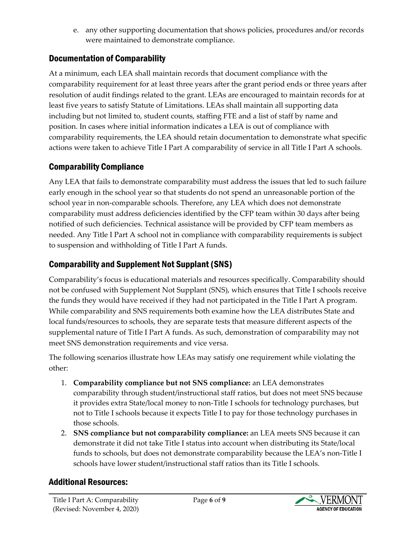e. any other supporting documentation that shows policies, procedures and/or records were maintained to demonstrate compliance.

# Documentation of Comparability

At a minimum, each LEA shall maintain records that document compliance with the comparability requirement for at least three years after the grant period ends or three years after resolution of audit findings related to the grant. LEAs are encouraged to maintain records for at least five years to satisfy Statute of Limitations. LEAs shall maintain all supporting data including but not limited to, student counts, staffing FTE and a list of staff by name and position. In cases where initial information indicates a LEA is out of compliance with comparability requirements, the LEA should retain documentation to demonstrate what specific actions were taken to achieve Title I Part A comparability of service in all Title I Part A schools.

### Comparability Compliance

Any LEA that fails to demonstrate comparability must address the issues that led to such failure early enough in the school year so that students do not spend an unreasonable portion of the school year in non-comparable schools. Therefore, any LEA which does not demonstrate comparability must address deficiencies identified by the CFP team within 30 days after being notified of such deficiencies. Technical assistance will be provided by CFP team members as needed. Any Title I Part A school not in compliance with comparability requirements is subject to suspension and withholding of Title I Part A funds.

### Comparability and Supplement Not Supplant (SNS)

Comparability's focus is educational materials and resources specifically. Comparability should not be confused with Supplement Not Supplant (SNS), which ensures that Title I schools receive the funds they would have received if they had not participated in the Title I Part A program. While comparability and SNS requirements both examine how the LEA distributes State and local funds/resources to schools, they are separate tests that measure different aspects of the supplemental nature of Title I Part A funds. As such, demonstration of comparability may not meet SNS demonstration requirements and vice versa.

The following scenarios illustrate how LEAs may satisfy one requirement while violating the other:

- 1. **Comparability compliance but not SNS compliance:** an LEA demonstrates comparability through student/instructional staff ratios, but does not meet SNS because it provides extra State/local money to non-Title I schools for technology purchases, but not to Title I schools because it expects Title I to pay for those technology purchases in those schools.
- 2. **SNS compliance but not comparability compliance:** an LEA meets SNS because it can demonstrate it did not take Title I status into account when distributing its State/local funds to schools, but does not demonstrate comparability because the LEA's non-Title I schools have lower student/instructional staff ratios than its Title I schools.

### Additional Resources:

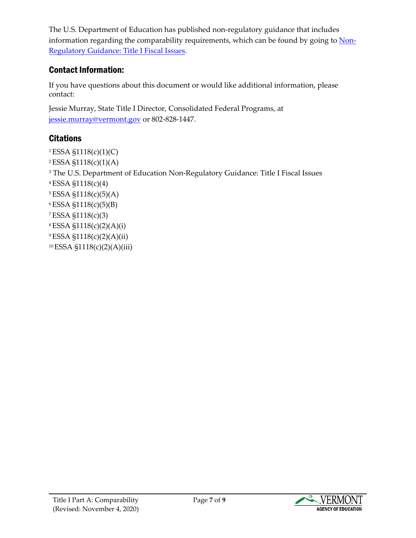The U.S. Department of Education has published non-regulatory guidance that includes information regarding the comparability requirements, which can be found by going to [Non-](https://www2.ed.gov/programs/titleiparta/fiscalguid.pdf)Regulatory Guidance: [Title I Fiscal Issues.](https://www2.ed.gov/programs/titleiparta/fiscalguid.pdf)

# Contact Information:

If you have questions about this document or would like additional information, please contact:

Jessie Murray[, State Title I Di](mailto:kristine.seipel@vermont.gov)rector, Consolidated Federal Programs, at jessie.murray@vermont.gov or 802-828-1447.

# **Citations**

ESSA §1118(c)(1)(C) ESSA §1118(c)(1)(A) <sup>3</sup> The U.S. Department of Education Non-Regulatory Guidance: Title I Fiscal Issues ESSA §1118(c)(4) ESSA §1118(c)(5)(A) ESSA §1118(c)(5)(B) ESSA §1118(c)(3) ESSA §1118(c)(2)(A)(i) ESSA §1118(c)(2)(A)(ii) ESSA §1118(c)(2)(A)(iii)

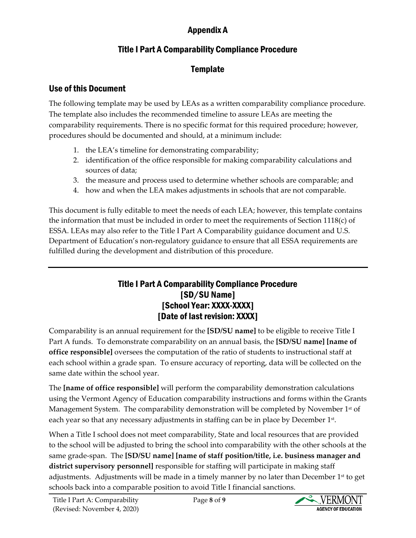# Appendix A

# Title I Part A Comparability Compliance Procedure

# **Template**

### Use of this Document

The following template may be used by LEAs as a written comparability compliance procedure. The template also includes the recommended timeline to assure LEAs are meeting the comparability requirements. There is no specific format for this required procedure; however, procedures should be documented and should, at a minimum include:

- 1. the LEA's timeline for demonstrating comparability;
- 2. identification of the office responsible for making comparability calculations and sources of data;
- 3. the measure and process used to determine whether schools are comparable; and
- 4. how and when the LEA makes adjustments in schools that are not comparable.

This document is fully editable to meet the needs of each LEA; however, this template contains the information that must be included in order to meet the requirements of Section 1118(c) of ESSA. LEAs may also refer to the Title I Part A Comparability guidance document and U.S. Department of Education's non-regulatory guidance to ensure that all ESSA requirements are fulfilled during the development and distribution of this procedure.

### Title I Part A Comparability Compliance Procedure [SD/SU Name] [School Year: XXXX-XXXX] [Date of last revision: XXXX]

Comparability is an annual requirement for the **[SD/SU name]** to be eligible to receive Title I Part A funds. To demonstrate comparability on an annual basis, the **[SD/SU name] [name of office responsible]** oversees the computation of the ratio of students to instructional staff at each school within a grade span. To ensure accuracy of reporting, data will be collected on the same date within the school year.

The **[name of office responsible]** will perform the comparability demonstration calculations using the Vermont Agency of Education comparability instructions and forms within the Grants Management System. The comparability demonstration will be completed by November  $1<sup>st</sup>$  of each year so that any necessary adjustments in staffing can be in place by December 1st.

When a Title I school does not meet comparability, State and local resources that are provided to the school will be adjusted to bring the school into comparability with the other schools at the same grade-span. The **[SD/SU name] [name of staff position/title, i.e. business manager and district supervisory personnel]** responsible for staffing will participate in making staff adjustments. Adjustments will be made in a timely manner by no later than December  $1<sup>st</sup>$  to get schools back into a comparable position to avoid Title I financial sanctions.